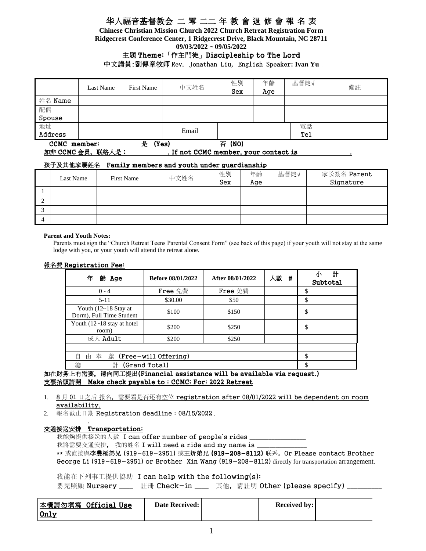**Chinese Christian Mission Church 2022 Church Retreat Registration Form Ridgecrest Conference Center, 1 Ridgecrest Drive, Black Mountain, NC 28711 09/03/2022 ~ 09/05/2022**

### 主題 Theme:「作主門徒」Discipleship to The Lord 中文講員:劉傳章牧师 Rev. Jonathan Liu, English Speaker**: Ivan Yu**

|                            | Last Name | <b>First Name</b> | 中文姓名      | 性別<br>Sex | 年齡<br>Age | 基督徒√ | 備註 |
|----------------------------|-----------|-------------------|-----------|-----------|-----------|------|----|
| 姓名 Name                    |           |                   |           |           |           |      |    |
| 配偶                         |           |                   |           |           |           |      |    |
| Spouse                     |           |                   |           |           |           |      |    |
| 地址                         |           |                   |           |           |           | 電話   |    |
| Address                    |           |                   | Email     |           |           | Tel  |    |
| (Yes)<br>CCMC member:<br>是 |           |                   | (NO)<br>否 |           |           |      |    |

### 如非 CCMC 会员,联络人是: . . . . If not CCMC member, your contact is

### 孩子及其他家屬姓名 Family members and youth under guardianship

|        | Last Name | First Name | 中文姓名 | 性別<br>Sex | 年齡<br>Age | 基督徒√ | 家长簽名 Parent<br>Signature |
|--------|-----------|------------|------|-----------|-----------|------|--------------------------|
|        |           |            |      |           |           |      |                          |
| ◠<br>∠ |           |            |      |           |           |      |                          |
| ◠<br>◡ |           |            |      |           |           |      |                          |
| 4      |           |            |      |           |           |      |                          |

#### **Parent and Youth Notes:**

Parents must sign the "Church Retreat Teens Parental Consent Form" (see back of this page) if your youth will not stay at the same lodge with you, or your youth will attend the retreat alone.

#### 報名費 Registration Fee:

| 年<br>齢 Age                                         | <b>Before 08/01/2022</b> | After 08/01/2022 | 人數<br># | 計<br>Subtotal |
|----------------------------------------------------|--------------------------|------------------|---------|---------------|
| $0 - 4$                                            | Free 免費                  | Free 免費          |         |               |
| $5 - 11$                                           | \$30.00                  | \$50             |         | \$            |
| Youth $(12~18$ Stay at<br>Dorm), Full Time Student | \$100                    | \$150            |         | \$            |
| Youth $(12~18$ stay at hotel<br>room)              | \$200                    | \$250            |         | \$            |
| 成人 Adult                                           | \$200                    | \$250            |         |               |
|                                                    |                          |                  |         |               |
| 奉<br>(Free-will Offering)<br>獻<br>自<br>由           | ¢                        |                  |         |               |
| 總<br>計                                             | (Grand Total)            |                  |         | \$            |

如在财务上有需要,请向同工提出(Financial assistance will be available via request.) 支票抬頭請開 Make check payable to : CCMC; For: 2022 Retreat

- 1. 8月01日之后报名,需要看是否还有空位 registration after 08/01/2022 will be dependent on room availability.
- 2. 報名截止日期 Registration deadline : 08/15/2022 .

#### . 交通接送安排 Transportation:

我能夠提供接送的人數 I can offer number of people's rides

我將需要交通安排, 我的姓名 I will need a ride and my name is \_

\*\* 或直接與李豐橋弟兄 (919-619-2951) 或王炘弟兄 (919-208-8112) 联系。Or Please contact Brother George Li (919-619-2951) or Brother Xin Wang (919-208-8112) directly for transportation arrangement.

我能在下列事工提供協助 I can help with the following(s): 嬰兒照顧 Nursery \_\_\_\_ 註冊 Check-in \_\_\_\_ 其他, 請註明 Other (please specify) \_\_\_\_\_\_\_\_

| 本欄請勿填寫 Official Use | <b>Date Received:</b> | <b>Received by:</b> |  |
|---------------------|-----------------------|---------------------|--|
| 0nly                |                       |                     |  |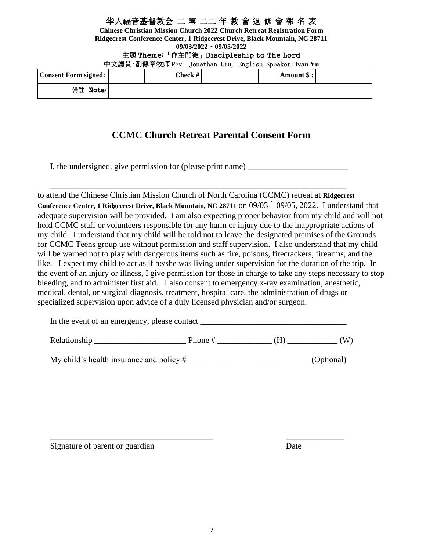**Chinese Christian Mission Church 2022 Church Retreat Registration Form Ridgecrest Conference Center, 1 Ridgecrest Drive, Black Mountain, NC 28711 09/03/2022 ~ 09/05/2022**

主題 Theme:「作主門徒」Discipleship to The Lord

| 中文講員:劉傳章牧师 Rev. Jonathan Liu, English Speaker: Ivan Yu |  |  |
|--------------------------------------------------------|--|--|
|                                                        |  |  |

| Consent Form signed: | Check # | Amount \$: |  |
|----------------------|---------|------------|--|
| 備註 Note:             |         |            |  |

# **CCMC Church Retreat Parental Consent Form**

I, the undersigned, give permission for (please print name)

\_\_\_\_\_\_\_\_\_\_\_\_\_\_\_\_\_\_\_\_\_\_\_\_\_\_\_\_\_\_\_\_\_\_\_\_\_\_\_\_\_\_\_\_\_\_\_\_\_\_\_\_\_\_\_\_\_\_\_\_\_\_\_\_\_\_\_\_\_\_\_ to attend the Chinese Christian Mission Church of North Carolina (CCMC) retreat at **Ridgecrest**  Conference Center, 1 Ridgecrest Drive, Black Mountain, NC 28711 on 09/03  $\degree$  09/05, 2022. I understand that adequate supervision will be provided. I am also expecting proper behavior from my child and will not hold CCMC staff or volunteers responsible for any harm or injury due to the inappropriate actions of my child. I understand that my child will be told not to leave the designated premises of the Grounds for CCMC Teens group use without permission and staff supervision. I also understand that my child will be warned not to play with dangerous items such as fire, poisons, firecrackers, firearms, and the like. I expect my child to act as if he/she was living under supervision for the duration of the trip. In the event of an injury or illness, I give permission for those in charge to take any steps necessary to stop bleeding, and to administer first aid. I also consent to emergency x-ray examination, anesthetic, medical, dental, or surgical diagnosis, treatment, hospital care, the administration of drugs or specialized supervision upon advice of a duly licensed physician and/or surgeon.

| In the event of an emergency, please contact |  |
|----------------------------------------------|--|
|----------------------------------------------|--|

| Rel<br>า ไวรท<br>ாய்வாட | _____ | . |  | A. |  |
|-------------------------|-------|---|--|----|--|
|-------------------------|-------|---|--|----|--|

My child's health insurance and policy # \_\_\_\_\_\_\_\_\_\_\_\_\_\_\_\_\_\_\_\_\_\_\_\_\_\_\_\_\_ (Optional)

\_\_\_\_\_\_\_\_\_\_\_\_\_\_\_\_\_\_\_\_\_\_\_\_\_\_\_\_\_\_\_\_\_\_\_\_\_\_\_ \_\_\_\_\_\_\_\_\_\_\_\_\_\_

Signature of parent or guardian Date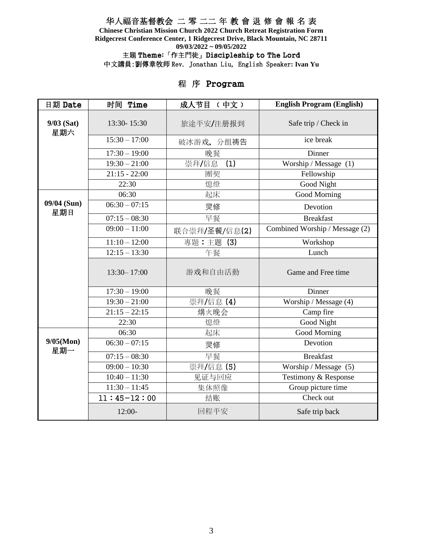**Chinese Christian Mission Church 2022 Church Retreat Registration Form Ridgecrest Conference Center, 1 Ridgecrest Drive, Black Mountain, NC 28711 09/03/2022 ~ 09/05/2022**

主題 Theme:「作主門徒」Discipleship to The Lord

中文講員:劉傳章牧师 Rev. Jonathan Liu, English Speaker**: Ivan Yu** 

# 程 序 Program

| 日期 Date             | 时间 Time                    | 成人节目 (中文)     | <b>English Program (English)</b>          |
|---------------------|----------------------------|---------------|-------------------------------------------|
| $9/03$ (Sat)<br>星期六 | 13:30-15:30                | 旅途平安/注册报到     | Safe trip / Check in                      |
|                     | $15:30 - 17:00$            | 破冰游戏, 分组祷告    | ice break                                 |
|                     | $17:30 - 19:00$            | 晚餐            | Dinner                                    |
|                     | $19:30 - 21:00$            | 崇拜/信息<br>(1)  | Worship / Message (1)                     |
|                     | $21:15 - 22:00$            | 團契            | Fellowship                                |
|                     | 22:30                      | 熄燈            | Good Night                                |
|                     | 06:30                      | 起床            | Good Morning                              |
| 09/04 (Sun)<br>星期日  | $06:30 - 07:15$            | 灵修            | Devotion                                  |
|                     | $07:15 - 08:30$            | 早餐            | <b>Breakfast</b>                          |
|                     | $09:00 - 11:00$            | 联合崇拜/圣餐/信息(2) | Combined Worship / Message (2)            |
|                     | $11:10 - 12:00$            | 專題:主题(3)      | Workshop                                  |
|                     | $12:15 - 13:30$            | 午餐            | Lunch                                     |
|                     | $13:30 - 17:00$            | 游戏和自由活動       | Game and Free time                        |
|                     | $17:30 - 19:00$            | 晚餐            | Dinner                                    |
|                     | $19:30 - 21:00$            | 崇拜/信息(4)      | Worship / Message (4)                     |
|                     | $21:15 - 22:15$            | 煹火晚会          | Camp fire                                 |
|                     | 22:30                      | 熄燈            | Good Night                                |
|                     | 06:30                      | 起床            | <b>Good Morning</b>                       |
| 9/05(Mon)<br>星期一    | $06:30 - 07:15$            | 灵修            | Devotion                                  |
|                     | $07:15 - 08:30$            | 早餐            | <b>Breakfast</b>                          |
|                     | $\overline{09:}00 - 10:30$ | 崇拜/信息(5)      | $\overline{\text{Worship}}$ / Message (5) |
|                     | $10:40 - 11:30$            | 见证与回应         | Testimony & Response                      |
|                     | $11:30 - 11:45$            | 集体照像          | Group picture time                        |
|                     | $11:45-12:00$              | 结账            | Check out                                 |
|                     | $12:00-$                   | 回程平安          | Safe trip back                            |